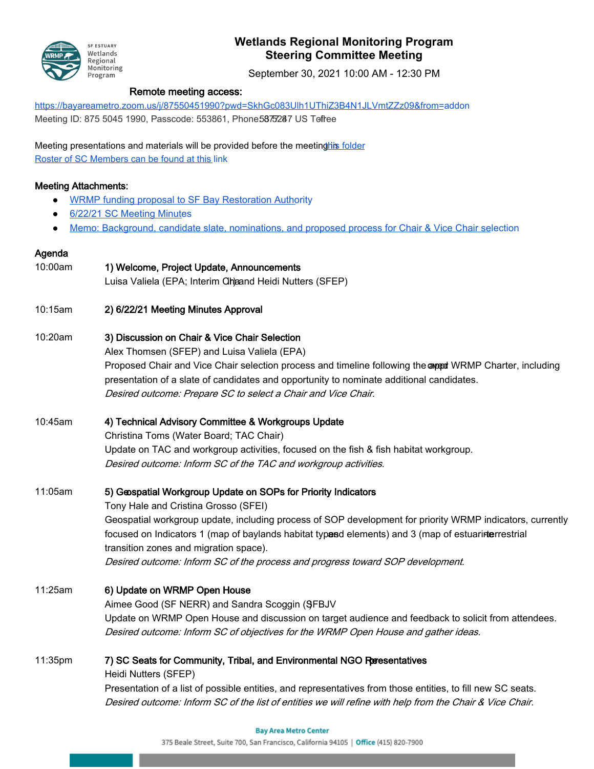

# **Wetlands Regional Monitoring Program Steering Committee Meeting**

September 30, 2021 10:00 AM - 12:30 PM

### Remote meeting access:

[https://bayareametro.zoom.us/j/87550451990?pwd=SkhGc083Ulh1UThiZ3B4N1JLVmtZZz09&from=a](https://bayareametro.zoom.us/j/87550451990?pwd=SkhGc083Ulh1UThiZ3B4N1JLVmtZZz09&from=addon)ddon

Meeting ID: 875 5045 1990, Passcode: 553861, Phone5875287 US Tofree

Meeting presentations and materials will be provided before the meeting in folder [Roster of SC Members can be found at this l](https://docs.google.com/spreadsheets/d/1irwBf2FqK7Nqeww960DWi42-1E-OG4_bv6QH0k0WIGQ/edit?usp=sharing)ink

### Meeting Attachments:

- [WRMP funding proposal to SF Bay Restoration Autho](https://drive.google.com/file/d/1ePoJ3NpjA77AaMooYDFlIam-wpwgVBzU/view)rity
- [6/22/21 SC Meeting Minute](https://docs.google.com/document/d/16hyETT8qQh6XweMga96pKvYBAijQpG3Fz54Xfqjpar8/edit?usp=sharing)s
- [Memo: Background, candidate slate, nominations, and proposed process for Chair & Vice Chair sel](https://drive.google.com/file/d/18857OvYz90hkhT0qbDv-oaIeFrxnzc6H/view?usp=sharing)ection

### Agenda

- 10:00am 1) Welcome, Project Update, Announcements Luisa Valiela (EPA; Interim Cha and Heidi Nutters (SFEP) 10:15am 2) 6/22/21 Meeting Minutes Approval
- 10:20am 3) Discussion on Chair & Vice Chair Selection

Alex Thomsen (SFEP) and Luisa Valiela (EPA) Proposed Chair and Vice Chair selection process and timeline following the appent WRMP Charter, including presentation of a slate of candidates and opportunity to nominate additional candidates. Desired outcome: Prepare SC to select a Chair and Vice Chair.

10:45am 4) Technical Advisory Committee & Workgroups Update

Christina Toms (Water Board; TAC Chair) Update on TAC and workgroup activities, focused on the fish & fish habitat workgroup. Desired outcome: Inform SC of the TAC and workgroup activities.

## 11:05am 5) Geospatial Workgroup Update on SOPs for Priority Indicators

Tony Hale and Cristina Grosso (SFEI) Geospatial workgroup update, including process of SOP development for priority WRMP indicators, currently focused on Indicators 1 (map of baylands habitat typesd elements) and 3 (map of estuarinterrestrial transition zones and migration space). Desired outcome: Inform SC of the process and progress toward SOP development.

11:25am 6) Update on WRMP Open House Aimee Good (SF NERR) and Sandra Scoggin (SFBJV ) Update on WRMP Open House and discussion on target audience and feedback to solicit from attendees. Desired outcome: Inform SC of objectives for the WRMP Open House and gather ideas.

11:35pm 7) SC Seats for Community, Tribal, and Environmental NGO Resentatives Heidi Nutters (SFEP) Presentation of a list of possible entities, and representatives from those entities, to fill new SC seats. Desired outcome: Inform SC of the list of entities we will refine with help from the Chair & Vice Chair.